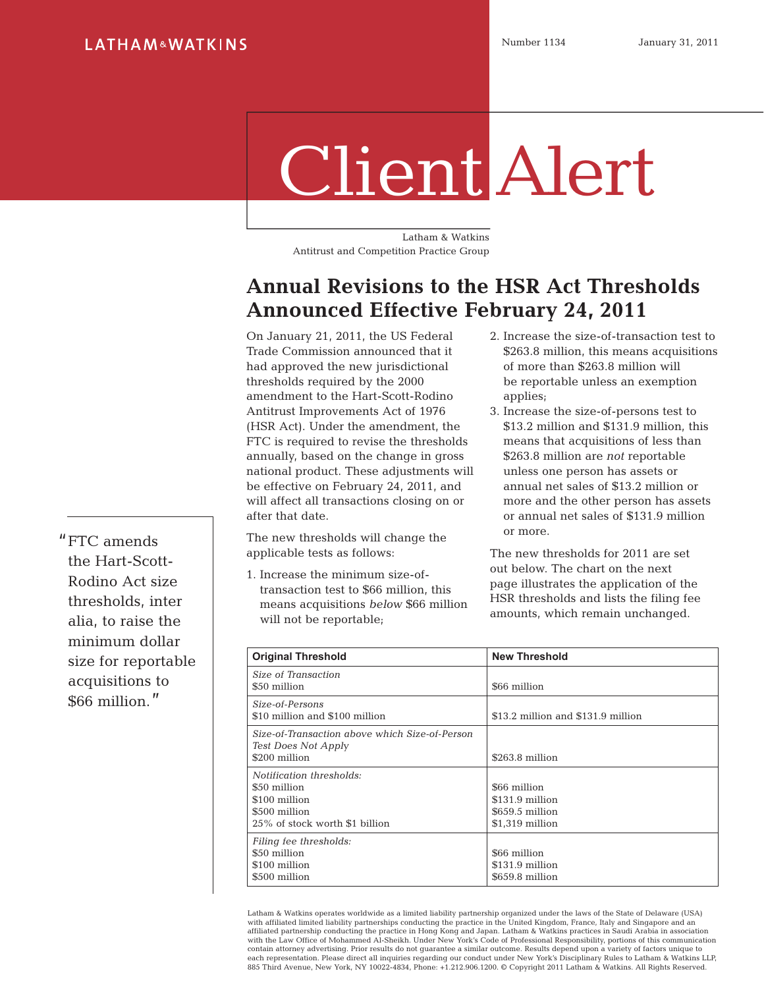## Client Alert

Latham & Watkins Antitrust and Competition Practice Group

## **Annual Revisions to the HSR Act Thresholds Announced Effective February 24, 2011**

On January 21, 2011, the US Federal Trade Commission announced that it had approved the new jurisdictional thresholds required by the 2000 amendment to the Hart-Scott-Rodino Antitrust Improvements Act of 1976 (HSR Act). Under the amendment, the FTC is required to revise the thresholds annually, based on the change in gross national product. These adjustments will be effective on February 24, 2011, and will affect all transactions closing on or after that date.

The new thresholds will change the applicable tests as follows:

1. Increase the minimum size-oftransaction test to \$66 million, this means acquisitions *below* \$66 million will not be reportable;

- 2. Increase the size-of-transaction test to \$263.8 million, this means acquisitions of more than \$263.8 million will be reportable unless an exemption applies;
- 3. Increase the size-of-persons test to \$13.2 million and \$131.9 million, this means that acquisitions of less than \$263.8 million are *not* reportable unless one person has assets or annual net sales of \$13.2 million or more and the other person has assets or annual net sales of \$131.9 million or more.

The new thresholds for 2011 are set out below. The chart on the next page illustrates the application of the HSR thresholds and lists the filing fee amounts, which remain unchanged.

| <b>Original Threshold</b>                                                                                    | <b>New Threshold</b>                                                  |
|--------------------------------------------------------------------------------------------------------------|-----------------------------------------------------------------------|
| Size of Transaction<br>\$50 million                                                                          | \$66 million                                                          |
| Size-of-Persons<br>\$10 million and \$100 million                                                            | \$13.2 million and \$131.9 million                                    |
| Size-of-Transaction above which Size-of-Person<br>Test Does Not Apply<br>\$200 million                       | \$263.8 million                                                       |
| Notification thresholds:<br>\$50 million<br>\$100 million<br>\$500 million<br>25% of stock worth \$1 billion | \$66 million<br>\$131.9 million<br>\$659.5 million<br>\$1,319 million |
| Filing fee thresholds:<br>\$50 million<br>\$100 million<br>\$500 million                                     | \$66 million<br>$$131.9$ million<br>\$659.8 million                   |

Latham & Watkins operates worldwide as a limited liability partnership organized under the laws of the State of Delaware (USA)<br>with affiliated limited liability partnerships conducting the practice in the United Kingdom, F affiliated partnership conducting the practice in Hong Kong and Japan. Latham & Watkins practices in Saudi Arabia in association with the Law Office of Mohammed Al-Sheikh. Under New York's Code of Professional Responsibility, portions of this communication<br>contain attorney advertising. Prior results do not quarantee a similar outcome. Results depend each representation. Please direct all inquiries regarding our conduct under New York's Disciplinary Rules to Latham & Watkins LLP, 885 Third Avenue, New York, NY 10022-4834, Phone: +1.212.906.1200. © Copyright 2011 Latham & Watkins. All Rights Reserved.

"FTC amends the Hart-Scott-Rodino Act size thresholds, inter alia, to raise the minimum dollar size for reportable acquisitions to \$66 million."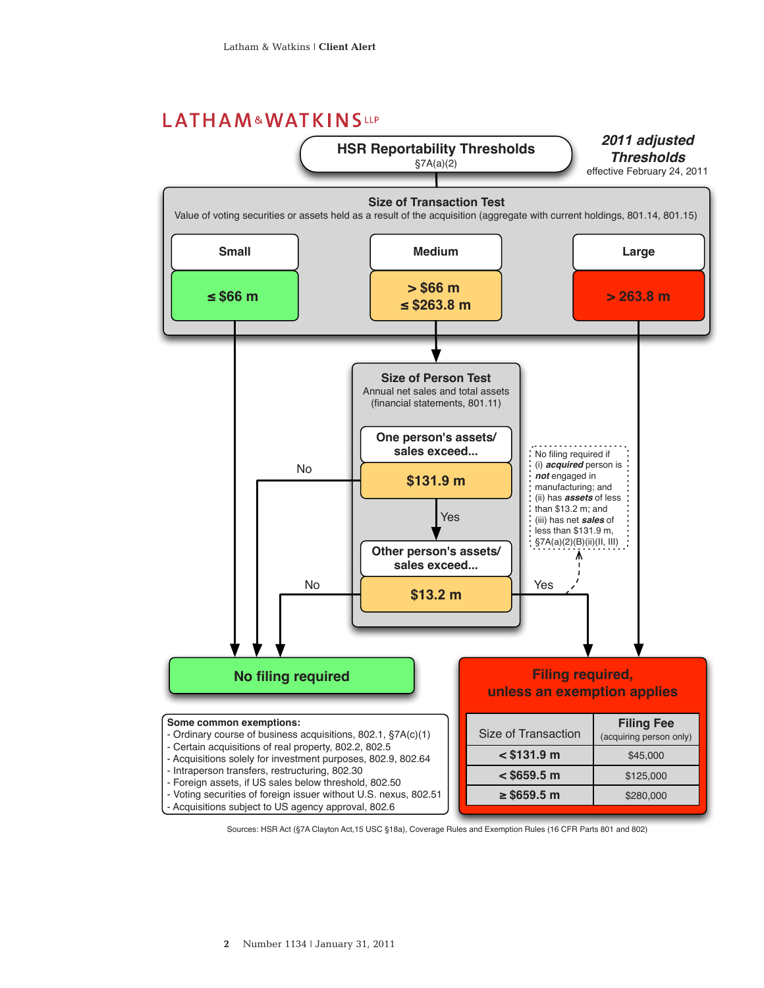## LATHAM&WATKINSLLP



Sources: HSR Act (§7A Clayton Act,15 USC §18a), Coverage Rules and Exemption Rules (16 CFR Parts 801 and 802)